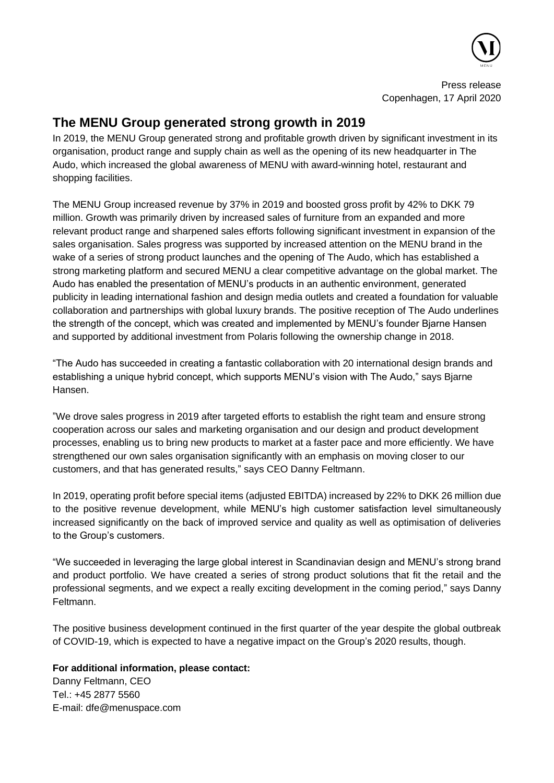

Press release Copenhagen, 17 April 2020

## **The MENU Group generated strong growth in 2019**

In 2019, the MENU Group generated strong and profitable growth driven by significant investment in its organisation, product range and supply chain as well as the opening of its new headquarter in The Audo, which increased the global awareness of MENU with award-winning hotel, restaurant and shopping facilities.

The MENU Group increased revenue by 37% in 2019 and boosted gross profit by 42% to DKK 79 million. Growth was primarily driven by increased sales of furniture from an expanded and more relevant product range and sharpened sales efforts following significant investment in expansion of the sales organisation. Sales progress was supported by increased attention on the MENU brand in the wake of a series of strong product launches and the opening of The Audo, which has established a strong marketing platform and secured MENU a clear competitive advantage on the global market. The Audo has enabled the presentation of MENU's products in an authentic environment, generated publicity in leading international fashion and design media outlets and created a foundation for valuable collaboration and partnerships with global luxury brands. The positive reception of The Audo underlines the strength of the concept, which was created and implemented by MENU's founder Bjarne Hansen and supported by additional investment from Polaris following the ownership change in 2018.

"The Audo has succeeded in creating a fantastic collaboration with 20 international design brands and establishing a unique hybrid concept, which supports MENU's vision with The Audo," says Bjarne Hansen.

"We drove sales progress in 2019 after targeted efforts to establish the right team and ensure strong cooperation across our sales and marketing organisation and our design and product development processes, enabling us to bring new products to market at a faster pace and more efficiently. We have strengthened our own sales organisation significantly with an emphasis on moving closer to our customers, and that has generated results," says CEO Danny Feltmann.

In 2019, operating profit before special items (adjusted EBITDA) increased by 22% to DKK 26 million due to the positive revenue development, while MENU's high customer satisfaction level simultaneously increased significantly on the back of improved service and quality as well as optimisation of deliveries to the Group's customers.

"We succeeded in leveraging the large global interest in Scandinavian design and MENU's strong brand and product portfolio. We have created a series of strong product solutions that fit the retail and the professional segments, and we expect a really exciting development in the coming period," says Danny Feltmann.

The positive business development continued in the first quarter of the year despite the global outbreak of COVID-19, which is expected to have a negative impact on the Group's 2020 results, though.

## **For additional information, please contact:**

Danny Feltmann, CEO Tel.: +45 2877 5560 E-mail: dfe@menuspace.com